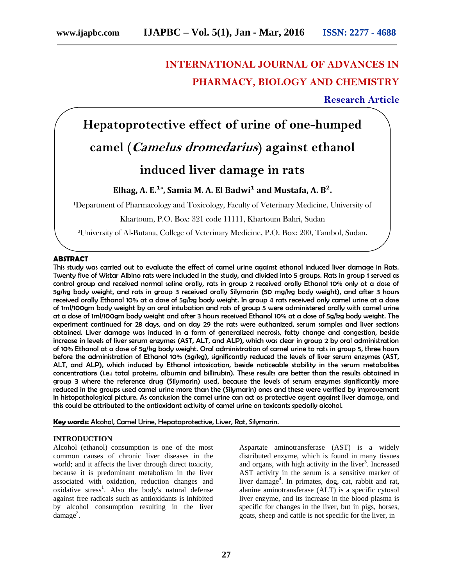# **INTERNATIONAL JOURNAL OF ADVANCES IN PHARMACY, BIOLOGY AND CHEMISTRY**

### **Research Article**

**Hepatoprotective effect of urine of one-humped camel (***Camelus dromedarius***) against ethanol**

## **induced liver damage in rats**

**Elhag, A. E.¹ \* , Samia M. A. El Badwi¹ and Mustafa, A. B².**

<sup>1</sup>Department of Pharmacology and Toxicology, Faculty of Veterinary Medicine, University of

Khartoum, P.O. Box: 321 code 11111, Khartoum Bahri, Sudan

²University of Al-Butana, College of Veterinary Medicine, P.O. Box: 200, Tambol, Sudan.

#### **ABSTRACT**

This study was carried out to evaluate the effect of camel urine against ethanol induced liver damage in Rats. Twenty five of Wistar Albino rats were included in the study, and divided into 5 groups. Rats in group 1 served as control group and received normal saline orally, rats in group 2 received orally Ethanol 10% only at a dose of 5g/kg body weight, and rats in group 3 received orally Silymarin (50 mg/kg body weight), and after 3 hours received orally Ethanol 10% at a dose of 5g/kg body weight. In group 4 rats received only camel urine at a dose of 1ml/100gm body weight by an oral intubation and rats of group 5 were administered orally with camel urine at a dose of 1ml/100gm body weight and after 3 hours received Ethanol 10% at a dose of 5g/kg body weight. The experiment continued for 28 days, and on day 29 the rats were euthanized, serum samples and liver sections obtained. Liver damage was induced in a form of generalized necrosis, fatty change and congestion, beside increase in levels of liver serum enzymes (AST, ALT, and ALP), which was clear in group 2 by oral administration of 10% Ethanol at a dose of 5g/kg body weight. Oral administration of camel urine to rats in group 5, three hours before the administration of Ethanol 10% (5g/kg), significantly reduced the levels of liver serum enzymes (AST, ALT, and ALP), which induced by Ethanol intoxication, beside noticeable stability in the serum metabolites concentrations (i.e.: total proteins, albumin and billirubin). These results are better than the results obtained in group 3 where the reference drug (Silymarin) used, because the levels of serum enzymes significantly more reduced in the groups used camel urine more than the (Silymarin) ones and these were verified by improvement in histopathological picture. As conclusion the camel urine can act as protective agent against liver damage, and this could be attributed to the antioxidant activity of camel urine on toxicants specially alcohol.

**Key words:** Alcohol, Camel Urine, Hepatoprotective, Liver, Rat, Silymarin.

#### **INTRODUCTION**

Alcohol (ethanol) consumption is one of the most common causes of chronic liver diseases in the world; and it affects the liver through direct toxicity, because it is predominant metabolism in the liver associated with oxidation, reduction changes and oxidative stress<sup>1</sup>. Also the body's natural defense against free radicals such as antioxidants is inhibited by alcohol consumption resulting in the liver  $\text{dase}^2$ .

Aspartate aminotransferase (AST) is a widely distributed enzyme, which is found in many tissues and organs, with high activity in the liver<sup>3</sup>. Increased AST activity in the serum is a sensitive marker of liver damage<sup>4</sup>. In primates, dog, cat, rabbit and rat, alanine aminotransferase (ALT) is a specific cytosol liver enzyme, and its increase in the blood plasma is specific for changes in the liver, but in pigs, horses, goats, sheep and cattle is not specific for the liver, in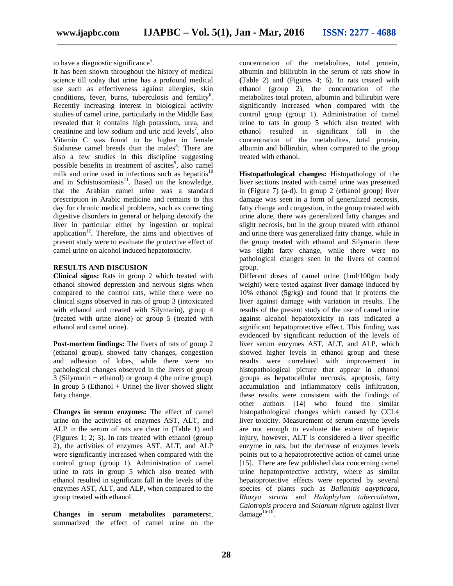to have a diagnostic significance<sup>5</sup>.

It has been shown throughout the history of medical science till today that urine has a profound medical use such as effectiveness against allergies, skin conditions, fever, burns, tuberculosis and fertility<sup>6</sup>. Recently increasing interest in biological activity studies of camel urine, particularly in the Middle East revealed that it contains high potassium, urea, and creatinine and low sodium and uric acid levels<sup>7</sup>, also Vitamin C was found to be higher in female Sudanese camel breeds than the males<sup>8</sup>. There are also a few studies in this discipline suggesting possible benefits in treatment of ascites<sup>9</sup>, also camel milk and urine used in infections such as hepatitis $10$ and in Schistosomiasis $^{11}$ . Based on the knowledge, that the Arabian camel urine was a standard prescription in Arabic medicine and remains to this day for chronic medical problems, such as correcting digestive disorders in general or helping detoxify the liver in particular either by ingestion or topical application<sup>12</sup>. Therefore, the aims and objectives of present study were to evaluate the protective effect of camel urine on alcohol induced hepatotoxicity.

#### **RESULTS AND DISCUSION**

**Clinical signs:** Rats in group 2 which treated with ethanol showed depression and nervous signs when compared to the control rats, while there were no clinical signs observed in rats of group 3 (intoxicated with ethanol and treated with Silymarin), group 4 (treated with urine alone) or group 5 (treated with ethanol and camel urine).

**Post-mortem findings:** The livers of rats of group 2 (ethanol group), showed fatty changes, congestion and adhesion of lobes, while there were no pathological changes observed in the livers of group 3 (Silymarin + ethanol) or group 4 (the urine group). In group  $5$  (Ethanol + Urine) the liver showed slight fatty change.

**Changes in serum enzymes:** The effect of camel urine on the activities of enzymes AST, ALT, and ALP in the serum of rats are clear in (Table 1) and (Figures 1; 2; 3). In rats treated with ethanol (group 2), the activities of enzymes AST, ALT, and ALP were significantly increased when compared with the control group (group 1). Administration of camel urine to rats in group 5 which also treated with ethanol resulted in significant fall in the levels of the enzymes AST, ALT, and ALP, when compared to the group treated with ethanol.

**Changes in serum metabolites parameters:**, summarized the effect of camel urine on the concentration of the metabolites, total protein, albumin and billirubin in the serum of rats show in **(**Table 2) and (Figures 4; 6). In rats treated with ethanol (group  $\overline{2}$ ), the concentration of the metabolites total protein, albumin and billirubin were significantly increased when compared with the control group (group 1). Administration of camel urine to rats in group 5 which also treated with ethanol resulted in significant fall in the concentration of the metabolites, total protein, albumin and billirubin, when compared to the group treated with ethanol.

**Histopathological changes:** Histopathology of the liver sections treated with camel urine was presented in (Figure 7) (a-d). In group 2 (ethanol group) liver damage was seen in a form of generalized necrosis, fatty change and congestion, in the group treated with urine alone, there was generalized fatty changes and slight necrosis, but in the group treated with ethanol and urine there was generalized fatty change, while in the group treated with ethanol and Silymarin there was slight fatty change, while there were no pathological changes seen in the livers of control group.

Different doses of camel urine (1ml/100gm body weight) were tested against liver damage induced by 10% ethanol (5g/kg) and found that it protects the liver against damage with variation in results. The results of the present study of the use of camel urine against alcohol hepatotoxicity in rats indicated a significant hepatoprotective effect. This finding was evidenced by significant reduction of the levels of liver serum enzymes AST, ALT, and ALP, which showed higher levels in ethanol group and these results were correlated with improvement in histopathological picture that appear in ethanol groups as hepatocellular necrosis, apoptosis, fatty accumulation and inflammatory cells infiltration, these results were consistent with the findings of other authors [14] who found the similar histopathological changes which caused by CCL4 liver toxicity. Measurement of serum enzyme levels are not enough to evaluate the extent of hepatic injury, however, ALT is considered a liver specific enzyme in rats, but the decrease of enzymes levels points out to a hepatoprotective action of camel urine [15]. There are few published data concerning camel urine hepatoprotective activity, where as similar hepatoprotective effects were reported by several species of plants such as *Ballanitis agypticaca*, *Rhazya stricta* and *Halophylum tuberculatum*, *Calotropis procera* and *Solanum nigrum* against liver  $d$ amage $16-18$ .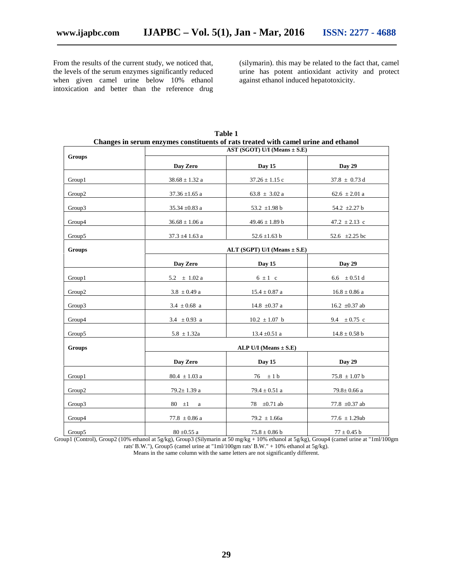From the results of the current study, we noticed that, the levels of the serum enzymes significantly reduced when given camel urine below 10% ethanol intoxication and better than the reference drug (silymarin). this may be related to the fact that, camel urine has potent antioxidant activity and protect against ethanol induced hepatotoxicity.

|               | Changes in serum enzymes constituents of rats treated with camel urine and ethanol<br>AST (SGOT) U/I (Means $\pm$ S.E) |                           |                                       |  |  |
|---------------|------------------------------------------------------------------------------------------------------------------------|---------------------------|---------------------------------------|--|--|
| <b>Groups</b> | Day Zero                                                                                                               | Day 15                    | Day 29                                |  |  |
| Group1        | $38.68 \pm 1.32$ a                                                                                                     | $37.26 \pm 1.15$ c        | $37.8 \pm 0.73$ d                     |  |  |
| Group2        | 37.36 $\pm 1.65$ a                                                                                                     | $63.8~\pm~3.02$ a         | $62.6 \pm 2.01$ a                     |  |  |
| Group3        | 35.34 $\pm$ 0.83 a                                                                                                     | 53.2 $\pm 1.98$ b         | 54.2 ±2.27 b                          |  |  |
| Group4        | $36.68 \pm 1.06$ a                                                                                                     | $49.46 \pm 1.89$ b        | 47.2 $\pm$ 2.13 c                     |  |  |
| Group5        | 37.3 $\pm$ 4 1.63 a                                                                                                    | 52.6 $\pm$ 1.63 b         | 52.6 $\pm 2.25$ bc                    |  |  |
| Groups        | ALT (SGPT) U/I (Means $\pm$ S.E)                                                                                       |                           |                                       |  |  |
|               | Day Zero                                                                                                               | Day 15                    | Day 29                                |  |  |
| Group1        | 5.2 $\pm$ 1.02 a                                                                                                       | $6 \pm 1$ c               | $6.6\phantom{0} \pm 0.51\,\mathrm{d}$ |  |  |
| Group2        | $3.8 \pm 0.49$ a                                                                                                       | $15.4 \pm 0.87$ a         | $16.8 \pm 0.86$ a                     |  |  |
| Group3        | $3.4 \pm 0.68$ a                                                                                                       | 14.8 $\pm 0.37$ a         | 16.2 $\pm 0.37$ ab                    |  |  |
| Group4        | 3.4 $\pm$ 0.93 a                                                                                                       | $10.2 \pm 1.07$ b         | 9.4 $\pm 0.75$ c                      |  |  |
| Group5        | $5.8 \pm 1.32a$                                                                                                        | $13.4 \pm 0.51$ a         | $14.8 \pm 0.58$ b                     |  |  |
| <b>Groups</b> |                                                                                                                        | ALP U/I (Means $\pm$ S.E) |                                       |  |  |
|               | Day Zero                                                                                                               | Day 15                    | Day 29                                |  |  |
| Group1        | $80.4 \pm 1.03$ a                                                                                                      | $\pm$ 1 b<br>76           | $75.8 \pm 1.07$ b                     |  |  |
| Group2        | $79.2 \pm 1.39$ a                                                                                                      | 79.4 $\pm$ 0.51 a         | $79.8 \pm 0.66$ a                     |  |  |
| Group3        | 80<br>$\pm 1$<br>a                                                                                                     | 78 $\pm 0.71$ ab          | 77.8 $\pm 0.37$ ab                    |  |  |
| Group4        | $77.8 \pm 0.86$ a                                                                                                      | $79.2 \pm 1.66a$          | 77.6 $\pm$ 1.29ab                     |  |  |
| Group5        | $80 \pm 0.55$ a                                                                                                        | $75.8 \pm 0.86$ b         | $77\pm0.45$ b                         |  |  |

**Table 1**

Group1 (Control), Group2 (10% ethanol at 5g/kg), Group3 (Silymarin at 50 mg/kg + 10% ethanol at 5g/kg), Group4 (camel urine at "1ml/100gm rats' B.W."), Group5 (camel urine at "1ml/100gm rats' B.W." + 10% ethanol at 5g/kg).

Means in the same column with the same letters are not significantly different.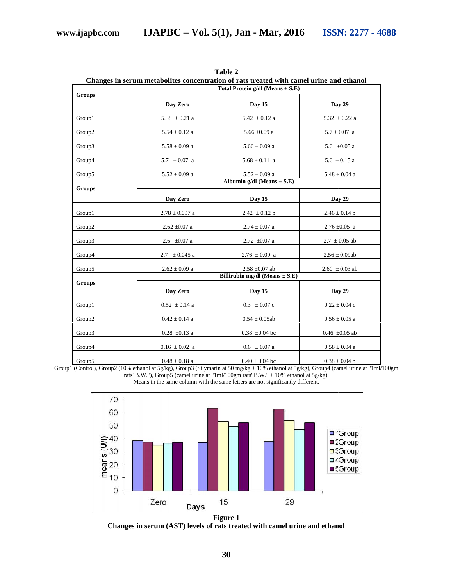| Groups        | Total Protein g/dl (Means $\pm$ S.E)                                                                                                                           |                             |                    |  |  |
|---------------|----------------------------------------------------------------------------------------------------------------------------------------------------------------|-----------------------------|--------------------|--|--|
|               | Day Zero                                                                                                                                                       | Day 15                      | Day 29             |  |  |
| Group1        | $5.38 \pm 0.21$ a                                                                                                                                              | $5.42 \pm 0.12$ a           | $5.32 \pm 0.22$ a  |  |  |
| Group2        | $5.54 \pm 0.12$ a                                                                                                                                              | $5.66 \pm 0.09$ a           | $5.7\pm0.07\,$ a   |  |  |
| Group3        | $5.58\pm0.09$ a                                                                                                                                                | $5.66\pm0.09$ a             | 5.6 $\pm 0.05$ a   |  |  |
| Group4        | 5.7 $\pm 0.07$ a                                                                                                                                               | $5.68 \pm 0.11$ a           | $5.6 \pm 0.15$ a   |  |  |
| Group5        | $5.52\pm0.09$ a                                                                                                                                                | $5.52 \pm 0.09$ a           | $5.48\pm0.04$ a    |  |  |
| <b>Groups</b> | Albumin g/dl (Means $\pm$ S.E)                                                                                                                                 |                             |                    |  |  |
|               | Day Zero                                                                                                                                                       | Day 15                      | <b>Day 29</b>      |  |  |
| Group1        | $2.78 \pm 0.097$ a                                                                                                                                             | $2.42 \pm 0.12$ b           | $2.46 \pm 0.14$ b  |  |  |
| Group2        | $2.62\; {\pm}0.07$ a                                                                                                                                           | $2.74\pm0.07$ a             | $2.76 \pm 0.05$ a  |  |  |
| Group3        | $2.6 \pm 0.07$ a                                                                                                                                               | $2.72\ \pm0.07$ a           | $2.7 \pm 0.05$ ab  |  |  |
| Group4        | $2.7 \pm 0.045$ a                                                                                                                                              | $2.76 \pm 0.09$ a           | $2.56 \pm 0.09$ ab |  |  |
| Group5        | $2.62 \pm 0.09$ a                                                                                                                                              | $2.58 \pm 0.07$ ab          | $2.60 \pm 0.03$ ab |  |  |
| <b>Groups</b> | Billirubin mg/dl (Means $\pm$ S.E)                                                                                                                             |                             |                    |  |  |
|               | Day Zero                                                                                                                                                       | Day 15                      | <b>Day 29</b>      |  |  |
| Group1        | $0.52 \pm 0.14$ a                                                                                                                                              | $0.3 \pm 0.07$ c            | $0.22 \pm 0.04$ c  |  |  |
| Group2        | $0.42 \pm 0.14$ a                                                                                                                                              | $0.54\pm0.05ab$             | $0.56\pm0.05$ a    |  |  |
| Group3        | $0.28 \pm 0.13$ a                                                                                                                                              | $0.38\ \pm0.04$ bc          | $0.46 \pm 0.05$ ab |  |  |
| Group4        | $0.16 \pm 0.02$ a                                                                                                                                              | $0.6\phantom{0} \pm 0.07$ a | $0.58\pm0.04$ a    |  |  |
| Group5        | $0.48 \pm 0.18$ a<br>Group1 (Control), Group2 (10% ethanol at 5g/kg), Group3 (Silymarin at 50 mg/kg + 10% ethanol at 5g/kg), Group4 (camel urine at "1ml/100gm | $0.40 \pm 0.04$ bc          | $0.38 \pm 0.04$ b  |  |  |

**Table 2**

Group1 (Control), Group2 (10% ethanol at 5g/kg), Group3 (Silymarin at 50 mg/kg + 10% ethanol at 5g/kg), Group4 (camel urine at "1ml/100gm rats' B.W."), Group5 (camel urine at "1ml/100gm rats' B.W." + 10% ethanol at 5g/kg). B.W."), Group5 (camel urine at " $1 \text{m}/100 \text{gm}$  rats' B.W." + 10% ethanol at 5g/kg). Means in the same column with the same letters are not significantly different.



**Changes in serum (AST) levels of rats treated with camel urine and ethanol**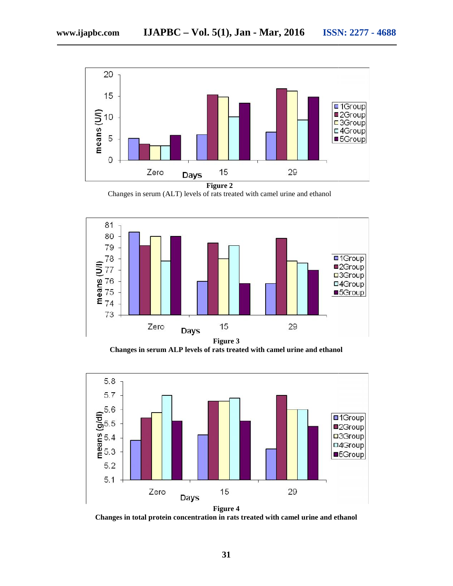

**Figure 2**

Changes in serum (ALT) levels of rats treated with camel urine and ethanol



Changes in serum ALP levels of rats treated with camel urine and ethanol



**Figure 4**

**Changes in total protein concentration in rats treated with camel urine and ethanol in rats urine**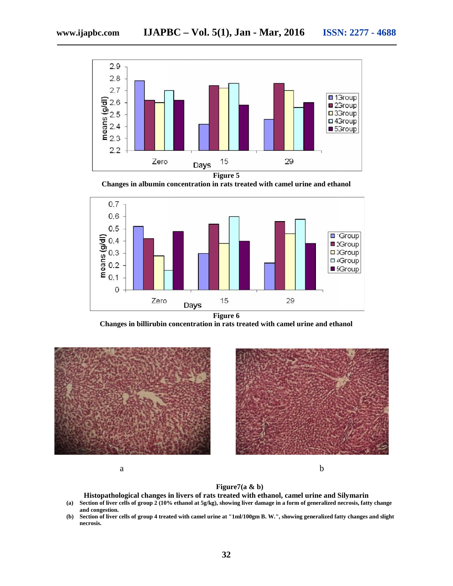

**Figure 5**

**Changes in albumin concentration in rats treated with camel urine and ethanol**



**Figure 6**

**Changes in billirubin concentration in rats treated with camel urine and ethanol treated** 





**Histopathological changes in livers of rats treated with ethanol, camel urine and Silymarin Silymarin**

- **(a) Section of liver cells of group 2 (10% ethanol at 5g/kg), showing liver damage in a form of generalized necrosis, fatty change cells of and congestion.**
- (b) Section of liver cells of group 4 treated with camel urine at "1ml/100gm B. W.", showing generalized fatty changes and slight **necrosis.**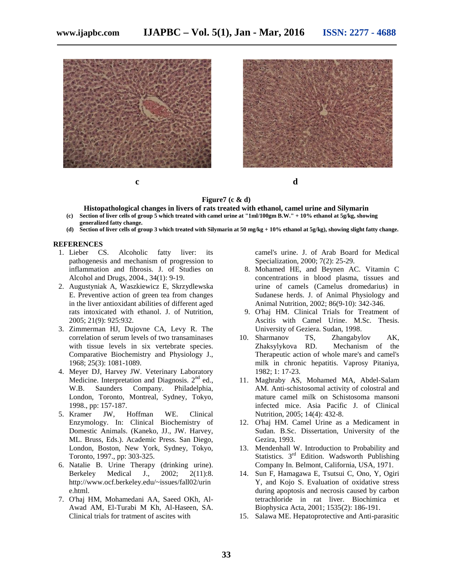







#### **Figure7 (c & d)**

**Histopathological changes in livers of rats treated with ethanol, camel urine and Silymarin (c) Section of liver cells of group 5 which treated with camel urine at "1ml/100gm B.W." + 10% ethanol at 5g/kg, showing**

- **generalized fatty change.**
- **(d) Section of liver cells of group 3 which treated with Silymarin at 50 mg/kg + 10% ethanol at 5g/kg), showing slight fatty change.**

#### **REFERENCES**

- 1. Lieber CS. Alcoholic fatty liver: its pathogenesis and mechanism of progression to inflammation and fibrosis. J. of Studies on Alcohol and Drugs, 2004., 34(1): 9-19.
- 2. Augustyniak A, Waszkiewicz E, Skrzydlewska E. Preventive action of green tea from changes in the liver antioxidant abilities of different aged rats intoxicated with ethanol. J. of Nutrition, 2005; 21(9): 925:932.
- 3. Zimmerman HJ, Dujovne CA, Levy R. The correlation of serum levels of two transaminases with tissue levels in six vertebrate species. Comparative Biochemistry and Physiology J., 1968; 25(3): 1081-1089.
- 4. Meyer DJ, Harvey JW. Veterinary Laboratory Medicine. Interpretation and Diagnosis.  $2<sup>nd</sup>$  ed., W.B. Saunders Company. Philadelphia, London, Toronto, Montreal, Sydney, Tokyo, 1998., pp: 157-187.
- 5. Kramer JW, Hoffman WE. Clinical Enzymology. In: Clinical Biochemistry of Domestic Animals. (Kaneko, JJ., JW. Harvey, ML. Bruss, Eds.). Academic Press. San Diego, London, Boston, New York, Sydney, Tokyo, Toronto, 1997., pp: 303-325.
- 6. Natalie B. Urine Therapy (drinking urine). Berkeley Medical J., 2002; 2(11):8. http://www.ocf.berkeley.edu/~issues/fall02/urin e.html.
- 7. O'haj HM, Mohamedani AA, Saeed OKh, Al- Awad AM, El-Turabi M Kh, Al-Haseen, SA. Clinical trials for tratment of ascites with

camel's urine. J. of Arab Board for Medical Specialization, 2000; 7(2): 25-29.

- 8. Mohamed HE, and Beynen AC. Vitamin C concentrations in blood plasma, tissues and urine of camels (Camelus dromedarius) in Sudanese herds. J. of Animal Physiology and Animal Nutrition, 2002; 86(9-10): 342-346.
- 9. O'haj HM. Clinical Trials for Treatment of Ascitis with Camel Urine. M.Sc. Thesis. University of Geziera. Sudan, 1998.
- 10. Sharmanov TS, Zhangabylov AK, Zhaksylykova RD. Mechanism of the Therapeutic action of whole mare's and camel's milk in chronic hepatitis. Vaprosy Pitaniya, 1982; 1: 17-23.
- 11. Maghraby AS, Mohamed MA, Abdel-Salam AM. Anti-schistosomal activity of colostral and mature camel milk on Schistosoma mansoni infected mice. Asia Pacific J. of Clinical Nutrition, 2005; 14(4): 432-8.
- 12. O'haj HM. Camel Urine as a Medicament in Sudan. B.Sc. Dissertation, University of the Gezira, 1993.
- 13. Mendenhall W. Introduction to Probability and Statistics. 3<sup>rd</sup> Edition. Wadsworth Publishing Company In. Belmont, California, USA, 1971.
- 14. Sun F, Hamagawa E, Tsutsui C, Ono, Y, Ogiri Y, and Kojo S. Evaluation of oxidative stress during apoptosis and necrosis caused by carbon tetrachloride in rat liver. Biochimica et Biophysica Acta, 2001; 1535(2): 186-191.
- 15. Salawa ME. Hepatoprotective and Anti-parasitic